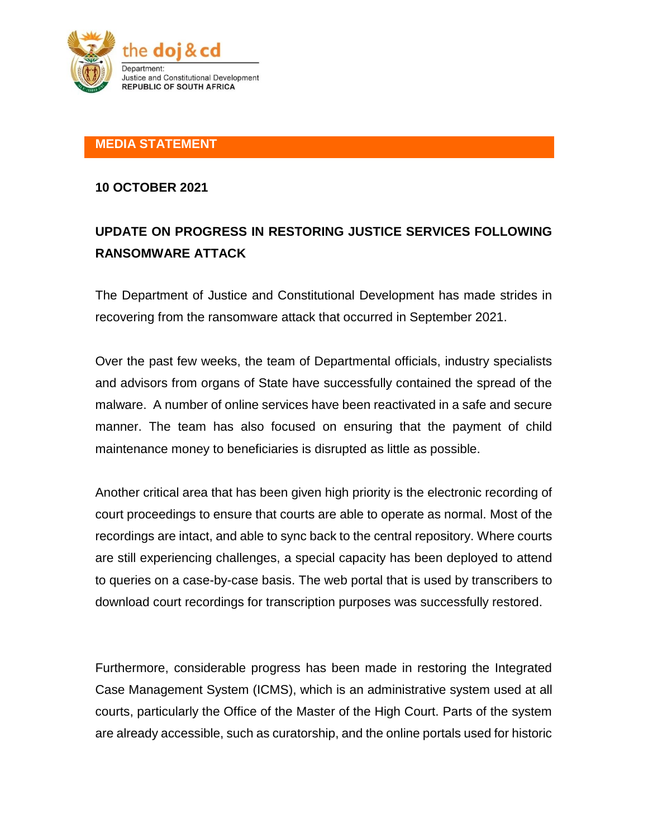

## **MEDIA STATEMENT**

#### **10 OCTOBER 2021**

# **UPDATE ON PROGRESS IN RESTORING JUSTICE SERVICES FOLLOWING RANSOMWARE ATTACK**

The Department of Justice and Constitutional Development has made strides in recovering from the ransomware attack that occurred in September 2021.

Over the past few weeks, the team of Departmental officials, industry specialists and advisors from organs of State have successfully contained the spread of the malware. A number of online services have been reactivated in a safe and secure manner. The team has also focused on ensuring that the payment of child maintenance money to beneficiaries is disrupted as little as possible.

Another critical area that has been given high priority is the electronic recording of court proceedings to ensure that courts are able to operate as normal. Most of the recordings are intact, and able to sync back to the central repository. Where courts are still experiencing challenges, a special capacity has been deployed to attend to queries on a case-by-case basis. The web portal that is used by transcribers to download court recordings for transcription purposes was successfully restored.

Furthermore, considerable progress has been made in restoring the Integrated Case Management System (ICMS), which is an administrative system used at all courts, particularly the Office of the Master of the High Court. Parts of the system are already accessible, such as curatorship, and the online portals used for historic